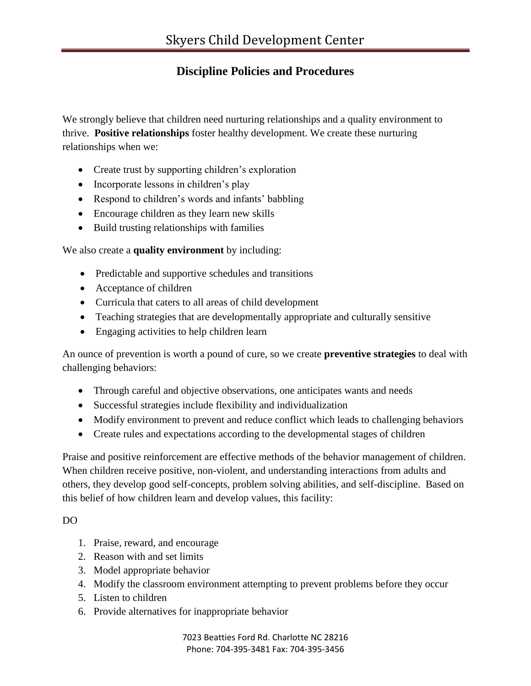## **Discipline Policies and Procedures**

We strongly believe that children need nurturing relationships and a quality environment to thrive. **Positive relationships** foster healthy development. We create these nurturing relationships when we:

- Create trust by supporting children's exploration
- Incorporate lessons in children's play
- Respond to children's words and infants' babbling
- Encourage children as they learn new skills
- Build trusting relationships with families

We also create a **quality environment** by including:

- Predictable and supportive schedules and transitions
- Acceptance of children
- Curricula that caters to all areas of child development
- Teaching strategies that are developmentally appropriate and culturally sensitive
- Engaging activities to help children learn

An ounce of prevention is worth a pound of cure, so we create **preventive strategies** to deal with challenging behaviors:

- Through careful and objective observations, one anticipates wants and needs
- Successful strategies include flexibility and individualization
- Modify environment to prevent and reduce conflict which leads to challenging behaviors
- Create rules and expectations according to the developmental stages of children

Praise and positive reinforcement are effective methods of the behavior management of children. When children receive positive, non-violent, and understanding interactions from adults and others, they develop good self-concepts, problem solving abilities, and self-discipline. Based on this belief of how children learn and develop values, this facility:

DO

- 1. Praise, reward, and encourage
- 2. Reason with and set limits
- 3. Model appropriate behavior
- 4. Modify the classroom environment attempting to prevent problems before they occur
- 5. Listen to children
- 6. Provide alternatives for inappropriate behavior

7023 Beatties Ford Rd. Charlotte NC 28216 Phone: 704-395-3481 Fax: 704-395-3456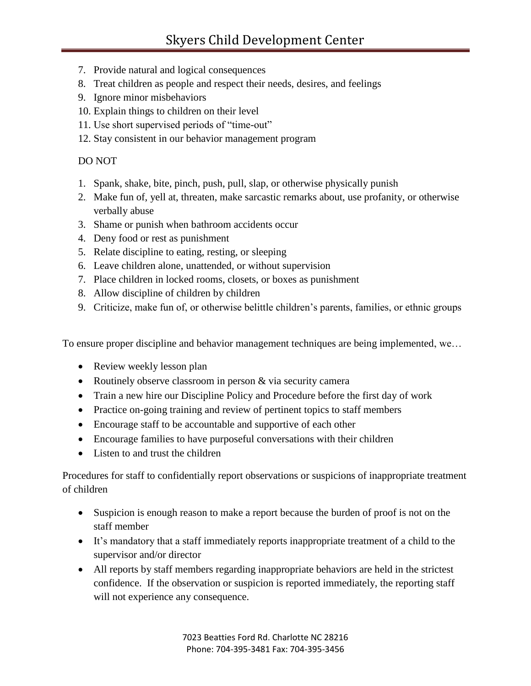- 7. Provide natural and logical consequences
- 8. Treat children as people and respect their needs, desires, and feelings
- 9. Ignore minor misbehaviors
- 10. Explain things to children on their level
- 11. Use short supervised periods of "time-out"
- 12. Stay consistent in our behavior management program

## DO NOT

- 1. Spank, shake, bite, pinch, push, pull, slap, or otherwise physically punish
- 2. Make fun of, yell at, threaten, make sarcastic remarks about, use profanity, or otherwise verbally abuse
- 3. Shame or punish when bathroom accidents occur
- 4. Deny food or rest as punishment
- 5. Relate discipline to eating, resting, or sleeping
- 6. Leave children alone, unattended, or without supervision
- 7. Place children in locked rooms, closets, or boxes as punishment
- 8. Allow discipline of children by children
- 9. Criticize, make fun of, or otherwise belittle children's parents, families, or ethnic groups

To ensure proper discipline and behavior management techniques are being implemented, we…

- Review weekly lesson plan
- Routinely observe classroom in person & via security camera
- Train a new hire our Discipline Policy and Procedure before the first day of work
- Practice on-going training and review of pertinent topics to staff members
- Encourage staff to be accountable and supportive of each other
- Encourage families to have purposeful conversations with their children
- Listen to and trust the children

Procedures for staff to confidentially report observations or suspicions of inappropriate treatment of children

- Suspicion is enough reason to make a report because the burden of proof is not on the staff member
- It's mandatory that a staff immediately reports inappropriate treatment of a child to the supervisor and/or director
- All reports by staff members regarding inappropriate behaviors are held in the strictest confidence. If the observation or suspicion is reported immediately, the reporting staff will not experience any consequence.